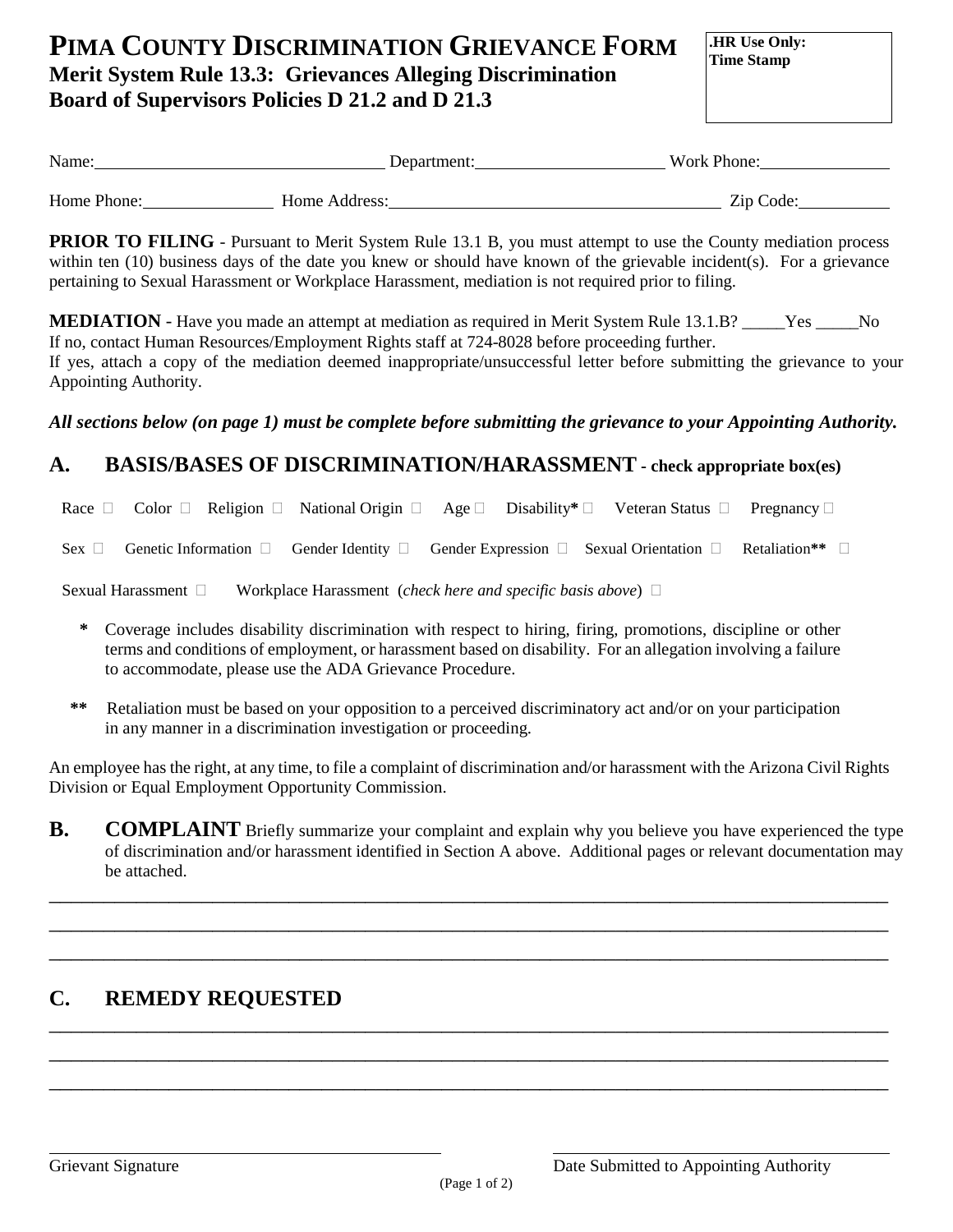# **PIMA COUNTY DISCRIMINATION GRIEVANCE FORM Merit System Rule 13.3: Grievances Alleging Discrimination Board of Supervisors Policies D 21.2 and D 21.3**

**.HR Use Only: Time Stamp**

| Name:       | Department:   | Work Phone: |
|-------------|---------------|-------------|
| Home Phone: | Home Address: | Zip Code:   |
|             |               |             |

**PRIOR TO FILING** - Pursuant to Merit System Rule 13.1 B, you must attempt to use the County mediation process within ten (10) business days of the date you knew or should have known of the grievable incident(s). For a grievance pertaining to Sexual Harassment or Workplace Harassment, mediation is not required prior to filing.

**MEDIATION** - Have you made an attempt at mediation as required in Merit System Rule 13.1.B? \_\_\_\_\_Yes \_\_\_\_\_No If no, contact Human Resources/Employment Rights staff at 724-8028 before proceeding further. If yes, attach a copy of the mediation deemed inappropriate/unsuccessful letter before submitting the grievance to your Appointing Authority.

#### *All sections below (on page 1) must be complete before submitting the grievance to your Appointing Authority.*

## **A. BASIS/BASES OF DISCRIMINATION/HARASSMENT - check appropriate box(es)**

Race  $\Box$  Color  $\Box$  Religion  $\Box$  National Origin  $\Box$  Age  $\Box$  Disability<sup>\*</sup>  $\Box$  Veteran Status  $\Box$  Pregnancy  $\Box$ 

Sex  $\Box$  Genetic Information  $\Box$  Gender Identity  $\Box$  Gender Expression  $\Box$  Sexual Orientation  $\Box$  Retaliation\*\*

Sexual Harassment Workplace Harassment (*check here and specific basis above*)

- **\*** Coverage includes disability discrimination with respect to hiring, firing, promotions, discipline or other terms and conditions of employment, or harassment based on disability. For an allegation involving a failure to accommodate, please use the ADA Grievance Procedure.
- **\*\*** Retaliation must be based on your opposition to a perceived discriminatory act and/or on your participation in any manner in a discrimination investigation or proceeding.

An employee has the right, at any time, to file a complaint of discrimination and/or harassment with the Arizona Civil Rights Division or Equal Employment Opportunity Commission.

**B. COMPLAINT** Briefly summarize your complaint and explain why you believe you have experienced the type of discrimination and/or harassment identified in Section A above. Additional pages or relevant documentation may be attached.

\_\_\_\_\_\_\_\_\_\_\_\_\_\_\_\_\_\_\_\_\_\_\_\_\_\_\_\_\_\_\_\_\_\_\_\_\_\_\_\_\_\_\_\_\_\_\_\_\_\_\_\_\_\_\_\_\_\_\_\_\_\_\_\_\_\_\_\_\_\_\_\_\_\_\_\_\_ \_\_\_\_\_\_\_\_\_\_\_\_\_\_\_\_\_\_\_\_\_\_\_\_\_\_\_\_\_\_\_\_\_\_\_\_\_\_\_\_\_\_\_\_\_\_\_\_\_\_\_\_\_\_\_\_\_\_\_\_\_\_\_\_\_\_\_\_\_\_\_\_\_\_\_\_\_ \_\_\_\_\_\_\_\_\_\_\_\_\_\_\_\_\_\_\_\_\_\_\_\_\_\_\_\_\_\_\_\_\_\_\_\_\_\_\_\_\_\_\_\_\_\_\_\_\_\_\_\_\_\_\_\_\_\_\_\_\_\_\_\_\_\_\_\_\_\_\_\_\_\_\_\_\_

\_\_\_\_\_\_\_\_\_\_\_\_\_\_\_\_\_\_\_\_\_\_\_\_\_\_\_\_\_\_\_\_\_\_\_\_\_\_\_\_\_\_\_\_\_\_\_\_\_\_\_\_\_\_\_\_\_\_\_\_\_\_\_\_\_\_\_\_\_\_\_\_\_\_\_\_\_ \_\_\_\_\_\_\_\_\_\_\_\_\_\_\_\_\_\_\_\_\_\_\_\_\_\_\_\_\_\_\_\_\_\_\_\_\_\_\_\_\_\_\_\_\_\_\_\_\_\_\_\_\_\_\_\_\_\_\_\_\_\_\_\_\_\_\_\_\_\_\_\_\_\_\_\_\_ \_\_\_\_\_\_\_\_\_\_\_\_\_\_\_\_\_\_\_\_\_\_\_\_\_\_\_\_\_\_\_\_\_\_\_\_\_\_\_\_\_\_\_\_\_\_\_\_\_\_\_\_\_\_\_\_\_\_\_\_\_\_\_\_\_\_\_\_\_\_\_\_\_\_\_\_\_

### **C. REMEDY REQUESTED**